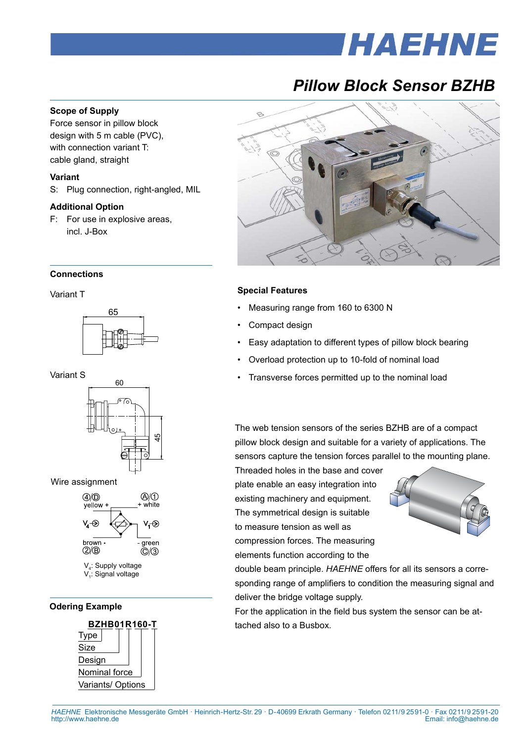# *HAEHNE*

## *Pillow Block Sensor BZHB*

#### **Scope of Supply**

Force sensor in pillow block design with 5 m cable (PVC), with connection variant T: cable gland, straight

#### **Variant**

S: Plug connection, right-angled, MIL

#### **Additional Option**

F: For use in explosive areas, incl. J-Box

#### **Connections**

#### Variant T



Variant S







V<sub>4</sub>: Supply voltage V<sub>1</sub>: Signal voltage

#### **Odering Example**





#### **Special Features**

- Measuring range from 160 to 6300 N
- Compact design
- Easy adaptation to different types of pillow block bearing
- Overload protection up to 10-fold of nominal load
- Transverse forces permitted up to the nominal load

The web tension sensors of the series BZHB are of a compact pillow block design and suitable for a variety of applications. The sensors capture the tension forces parallel to the mounting plane.

Threaded holes in the base and cover plate enable an easy integration into existing machinery and equipment. The symmetrical design is suitable to measure tension as well as compression forces. The measuring elements function according to the



double beam principle. *HAEHNE* offers for all its sensors a corresponding range of amplifiers to condition the measuring signal and deliver the bridge voltage supply.

For the application in the field bus system the sensor can be attached also to a Busbox.